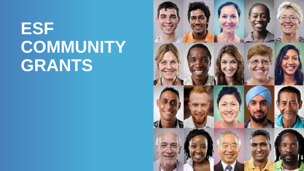# **ESF COMMUNITY GRANTS**

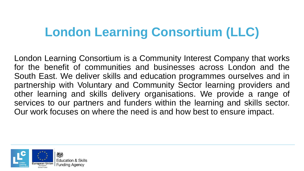#### **London Learning Consortium (LLC)**

London Learning Consortium is a Community Interest Company that works for the benefit of communities and businesses across London and the South East. We deliver skills and education programmes ourselves and in partnership with Voluntary and Community Sector learning providers and other learning and skills delivery organisations. We provide a range of services to our partners and funders within the learning and skills sector. Our work focuses on where the need is and how best to ensure impact.

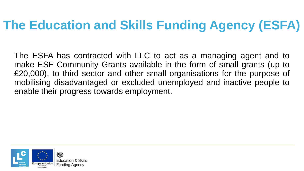# **The Education and Skills Funding Agency (ESFA)**

The ESFA has contracted with LLC to act as a managing agent and to make ESF Community Grants available in the form of small grants (up to £20,000), to third sector and other small organisations for the purpose of mobilising disadvantaged or excluded unemployed and inactive people to enable their progress towards employment.

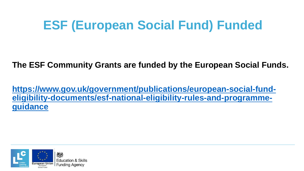### **ESF (European Social Fund) Funded**

**The ESF Community Grants are funded by the European Social Funds.**

**https://www.gov.uk/government/publications/european-social-fund[eligibility-documents/esf-national-eligibility-rules-and-programme](https://www.gov.uk/government/publications/european-social-fund-eligibility-documents/esf-national-eligibility-rules-and-programme-guidance)guidance**

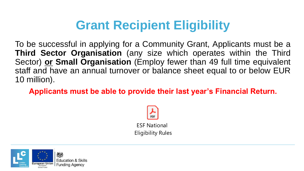# **Grant Recipient Eligibility**

To be successful in applying for a Community Grant, Applicants must be a **Third Sector Organisation** (any size which operates within the Third Sector) **or Small Organisation** (Employ fewer than 49 full time equivalent staff and have an annual turnover or balance sheet equal to or below EUR 10 million).

**Applicants must be able to provide their last year's Financial Return.**



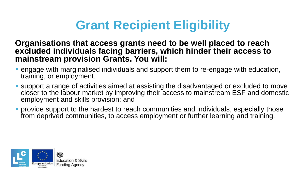## **Grant Recipient Eligibility**

#### **Organisations that access grants need to be well placed to reach excluded individuals facing barriers, which hinder their access to mainstream provision Grants. You will:**

- **E** engage with marginalised individuals and support them to re-engage with education, training, or employment.
- support a range of activities aimed at assisting the disadvantaged or excluded to move closer to the labour market by improving their access to mainstream ESF and domestic employment and skills provision; and
- **•** provide support to the hardest to reach communities and individuals, especially those from deprived communities, to access employment or further learning and training.

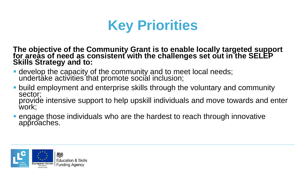

**The objective of the Community Grant is to enable locally targeted support**  for areas of need as consistent with the challenges set out in the SELEP **Skills Strategy and to:** 

- **.** develop the capacity of the community and to meet local needs; undertake activities that promote social inclusion;
- **build employment and enterprise skills through the voluntary and community** sector; provide intensive support to help upskill individuals and move towards and enter work;
- engage those individuals who are the hardest to reach through innovative approaches.

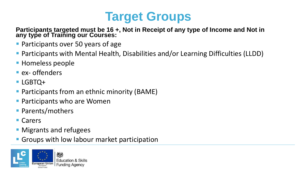

Participants targeted must be 16 +, Not in Receipt of any type of Income and Not in **any type of Training our Courses:**

- Participants over 50 years of age
- Participants with Mental Health, Disabilities and/or Learning Difficulties (LLDD)
- **E** Homeless people
- ex- offenders
- LGBTQ+
- Participants from an ethnic minority (BAME)
- **Participants who are Women**
- Parents/mothers
- Carers
- **Migrants and refugees**
- **Groups with low labour market participation**

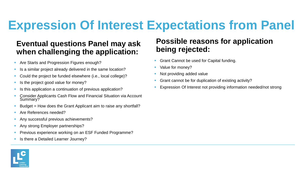#### **Eventual questions Panel may ask when challenging the application:**

- **EXECT** Are Starts and Progression Figures enough?
- **EXTE:** Is a similar project already delivered in the same location?
- Could the project be funded elsewhere (i.e., local college)?
- Is the project good value for money?
- **EXTE:** Is this application a continuation of previous application?
- Consider Applicants Cash Flow and Financial Situation via Account Summary?
- Budget = How does the Grant Applicant aim to raise any shortfall?
- Are References needed?
- **Any successful previous achievements?**
- **Any strong Employer partnerships?**
- **Previous experience working on an ESF Funded Programme?**
- **E** Is there a Detailed Learner Journey?

#### **Possible reasons for application being rejected:**

- **Grant Cannot be used for Capital funding.**
- Value for money?
- Not providing added value
- Grant cannot be for duplication of existing activity?
- Expression Of Interest not providing information needed/not strong

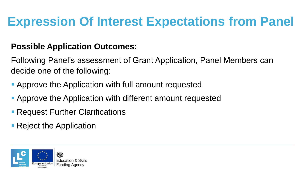#### **Possible Application Outcomes:**

Following Panel's assessment of Grant Application, Panel Members can decide one of the following:

- **Approve the Application with full amount requested**
- **Approve the Application with different amount requested**
- **Request Further Clarifications**
- Reject the Application

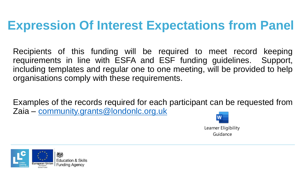Recipients of this funding will be required to meet record keeping requirements in line with ESFA and ESF funding guidelines. Support, including templates and regular one to one meeting, will be provided to help organisations comply with these requirements.

Examples of the records required for each participant can be requested from Zaia – [community.grants@londonlc.org.uk](mailto:community.grants@londonlc.org.uk)



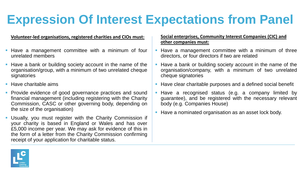#### **Volunteer-led organisations, registered charities and CIOs must:**

- Have a management committee with a minimum of four unrelated members
- Have a bank or building society account in the name of the organisation/group, with a minimum of two unrelated cheque signatories
- Have charitable aims
- Provide evidence of good governance practices and sound financial management (including registering with the Charity Commission, CASC or other governing body, depending on the size of the organisation)
- Usually, you must register with the Charity Commission if your charity is based in England or Wales and has over £5,000 income per year. We may ask for evidence of this in the form of a letter from the Charity Commission confirming receipt of your application for charitable status.

#### **Social enterprises, Community Interest Companies (CIC) and other companies must:**

- Have a management committee with a minimum of three directors, or four directors if two are related
- Have a bank or building society account in the name of the organisation/company, with a minimum of two unrelated cheque signatories
- Have clear charitable purposes and a defined social benefit
- Have a recognised status (e.g. a company limited by guarantee), and be registered with the necessary relevant body (e.g. Companies House)
- Have a nominated organisation as an asset lock body.

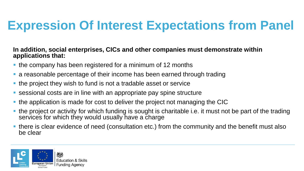#### **In addition, social enterprises, CICs and other companies must demonstrate within applications that:**

- the company has been registered for a minimum of 12 months
- a reasonable percentage of their income has been earned through trading
- **.** the project they wish to fund is not a tradable asset or service
- sessional costs are in line with an appropriate pay spine structure
- the application is made for cost to deliver the project not managing the CIC
- **.** the project or activity for which funding is sought is charitable i.e. it must not be part of the trading services for which they would usually have a charge
- **.** there is clear evidence of need (consultation etc.) from the community and the benefit must also be clear

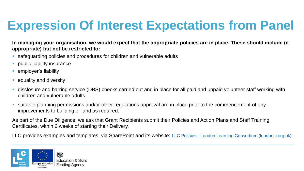**In managing your organisation, we would expect that the appropriate policies are in place. These should include (if appropriate) but not be restricted to:** 

- safeguarding policies and procedures for children and vulnerable adults
- **·** public liability insurance
- employer's liability
- equality and diversity
- disclosure and barring service (DBS) checks carried out and in place for all paid and unpaid volunteer staff working with children and vulnerable adults
- suitable planning permissions and/or other regulations approval are in place prior to the commencement of any improvements to building or land as required.

As part of the Due Diligence, we ask that Grant Recipients submit their Policies and Action Plans and Staff Training Certificates, within 6 weeks of starting their Delivery.

LLC provides examples and templates, via SharePoint and its website: LLC Policies - [London Learning Consortium \(londonlc.org.uk\)](https://www.londonlc.org.uk/policies/llc-policies/)

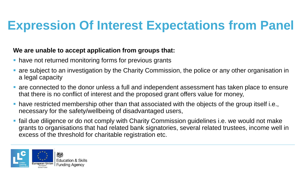#### **We are unable to accept application from groups that:**

- have not returned monitoring forms for previous grants
- **Examptem and investigation by the Charity Commission, the police or any other organisation in** a legal capacity
- are connected to the donor unless a full and independent assessment has taken place to ensure that there is no conflict of interest and the proposed grant offers value for money,
- **have restricted membership other than that associated with the objects of the group itself i.e.,** necessary for the safety/wellbeing of disadvantaged users,
- **•** fail due diligence or do not comply with Charity Commission guidelines i.e. we would not make grants to organisations that had related bank signatories, several related trustees, income well in excess of the threshold for charitable registration etc.

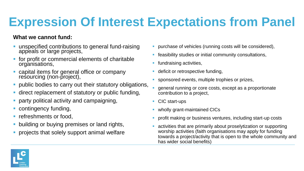#### **What we cannot fund:**

- unspecified contributions to general fund-raising appeals or large projects,
- for profit or commercial elements of charitable organisations,
- capital items for general office or company resourcing (non-project),
- **public bodies to carry out their statutory obligations,**
- **E** direct replacement of statutory or public funding,
- party political activity and campaigning,
- contingency funding,
- refreshments or food,
- building or buying premises or land rights,
- projects that solely support animal welfare
- purchase of vehicles (running costs will be considered),
- **EXECTE:** feasibility studies or initial community consultations,
- fundraising activities,
- deficit or retrospective funding,
- sponsored events, multiple trophies or prizes,
- general running or core costs, except as a proportionate contribution to a project,
- CIC start-ups
- **wholly grant-maintained CICs**
- profit making or business ventures, including start-up costs
- activities that are primarily about proselytization or supporting worship activities (faith organisations may apply for funding towards a project/activity that is open to the whole community and has wider social benefits)

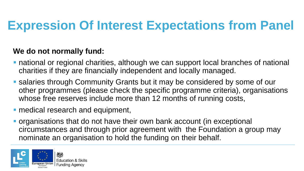#### **We do not normally fund:**

- **national or regional charities, although we can support local branches of national** charities if they are financially independent and locally managed.
- **salaries through Community Grants but it may be considered by some of our** other programmes (please check the specific programme criteria), organisations whose free reserves include more than 12 months of running costs,
- medical research and equipment,
- organisations that do not have their own bank account (in exceptional circumstances and through prior agreement with the Foundation a group may nominate an organisation to hold the funding on their behalf.

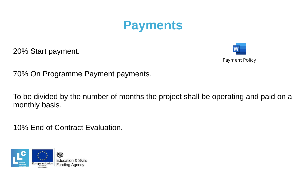

20% Start payment.



70% On Programme Payment payments.

To be divided by the number of months the project shall be operating and paid on a monthly basis.

10% End of Contract Evaluation.

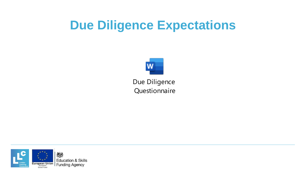#### **Due Diligence Expectations**



Due Diligence **Questionnaire** 

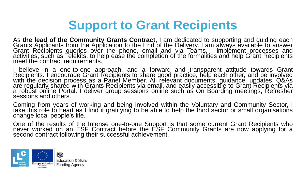#### **Support to Grant Recipients**

As **the lead of the Community Grants Contract,** I am dedicated to supporting and guiding each Grants Applicants from the Application to the End of the Delivery. I am always available to answer Grant Recipients queries over the phone, email and via Teáms. I implément processes and activities, such as Telekits, to help ease the completion of the formalities and help Grant Recipients meet the contract requirements.

I believe in a one-to-one approach, and a forward and transparent attitude towards Grant Recipients. I encourage Grant Recipients to share good practice, help each other, and be involved with the decision process as a Panel Member. All relevant documents, guidance, updates, Q&As are regularly shared with Grants Recipients via email, and easily accessible to Grant Recipients via a robust online Portal. I deliver group sessions online such as On Boarding meetings, Refresher sessions and others.

Coming from years of working and being involved within the Voluntary and Community Sector, I take thĭs role tó heart as I find it gratifying to be able to help the third séctor or small organisations change local people's life.

One of the results of the Intense one-to-one Support is that some current Grant Recipients who never worked on an ESF Contract before the ESF Community Grants are now applying for a second contract following their successful achievement.

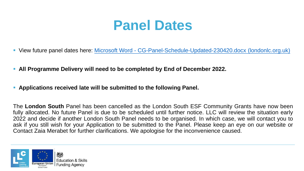## **Panel Dates**

- View future panel dates here: Microsoft Word [CG-Panel-Schedule-Updated-230420.docx \(londonlc.org.uk\)](https://www.londonlc.org.uk/wp-content/uploads/CG-Panel-Schedule-December-2021.pdf)
- **All Programme Delivery will need to be completed by End of December 2022.**
- **Applications received late will be submitted to the following Panel.**

The **London South** Panel has been cancelled as the London South ESF Community Grants have now been fully allocated. No future Panel is due to be scheduled until further notice. LLC will review the situation early 2022 and decide if another London South Panel needs to be organised. In which case, we will contact you to ask if you still wish for your Application to be submitted to the Panel. Please keep an eye on our website or Contact Zaia Merabet for further clarifications. We apologise for the inconvenience caused.

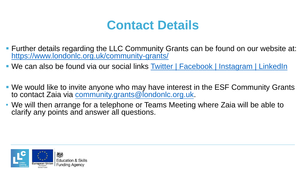#### **Contact Details**

- Further details regarding the LLC Community Grants can be found on our website at: <https://www.londonlc.org.uk/community-grants/>
- We can also be found via our social links Twitter | [Facebook |](https://www.facebook.com/londonlearningconsortium/) [Instagram |](https://twitter.com/LLClivenews) [LinkedIn](https://www.linkedin.com/company/london-learning-consortium/)
- We would like to invite anyone who may have interest in the ESF Community Grants to contact Zaia via [community.grants@londonlc.org.uk](mailto:community.grants@londonlc.org.uk).
- We will then arrange for a telephone or Teams Meeting where Zaia will be able to clarify any points and answer all questions.

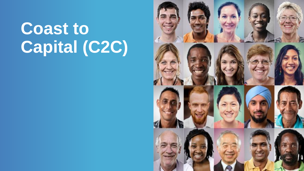# **Coast to Capital (C2C)**

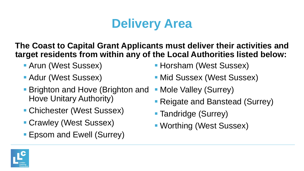## **Delivery Area**

#### **The Coast to Capital Grant Applicants must deliver their activities and target residents from within any of the Local Authorities listed below:**

- Arun (West Sussex)
- Adur (West Sussex)
- **Brighton and Hove (Brighton and** Hove Unitary Authority)
- Chichester (West Sussex)
- Crawley (West Sussex)
- Epsom and Ewell (Surrey)
- **Horsham (West Sussex)**
- Mid Sussex (West Sussex)
- Mole Valley (Surrey)
- Reigate and Banstead (Surrey)
- **Tandridge (Surrey)**
- **· Worthing (West Sussex)**

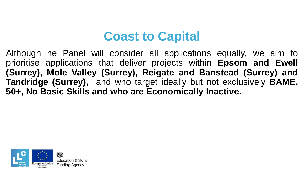#### **Coast to Capital**

Although he Panel will consider all applications equally, we aim to prioritise applications that deliver projects within **Epsom and Ewell (Surrey), Mole Valley (Surrey), Reigate and Banstead (Surrey) and Tandridge (Surrey),** and who target ideally but not exclusively **BAME, 50+, No Basic Skills and who are Economically Inactive.**

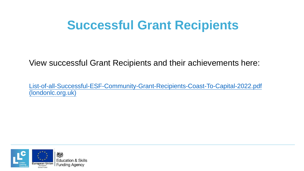#### **Successful Grant Recipients**

View successful Grant Recipients and their achievements here:

[List-of-all-Successful-ESF-Community-Grant-Recipients-Coast-To-Capital-2022.pdf](https://www.londonlc.org.uk/wp-content/uploads/List-of-all-Successful-ESF-Community-Grant-Recipients-Coast-To-Capital-2022.pdf)  (londonlc.org.uk)

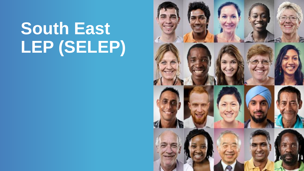# **South East LEP (SELEP)**

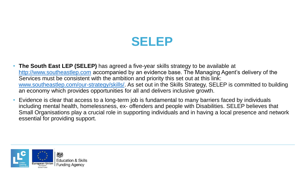#### **SELEP**

- **The South East LEP (SELEP)** has agreed a five-year skills strategy to be available at [http://www.southeastlep.com](http://www.southeastlep.com/) accompanied by an evidence base. The Managing Agent's delivery of the Services must be consistent with the ambition and priority this set out at this link: [www.southeastlep.com/our-strategy/skills/.](http://www.southeastlep.com/our-strategy/skills/) As set out in the Skills Strategy, SELEP is committed to building an economy which provides opportunities for all and delivers inclusive growth.
- Evidence is clear that access to a long-term job is fundamental to many barriers faced by individuals including mental health, homelessness, ex- offenders and people with Disabilities. SELEP believes that Small Organisations play a crucial role in supporting individuals and in having a local presence and network essential for providing support.

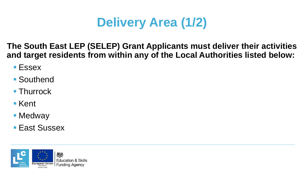# **Delivery Area (1/2)**

**The South East LEP (SELEP) Grant Applicants must deliver their activities and target residents from within any of the Local Authorities listed below:**

- Essex
- Southend
- Thurrock
- Kent
- Medway
- **East Sussex**

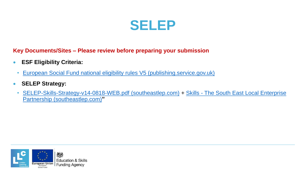

**Key Documents/Sites – Please review before preparing your submission**

- **ESF Eligibility Criteria:**
- [European Social Fund national eligibility rules V5 \(publishing.service.gov.uk\)](https://assets.publishing.service.gov.uk/government/uploads/system/uploads/attachment_data/file/626878/ESF_national_eligibility_rules.pdf)
- **SELEP Strategy:**
	- [SELEP-Skills-Strategy-v14-0818-WEB.pdf \(southeastlep.com\)](https://www.southeastlep.com/app/uploads/2018/09/SELEP-Skills-Strategy-v14-0818-WEB.pdf) + Skills The South East Local Enterprise Partnership (southeastlep.com)**"**

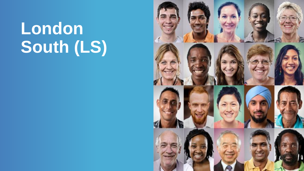# **London South (LS)**

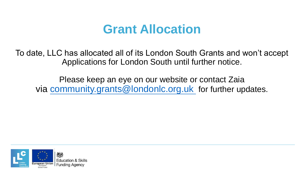#### **Grant Allocation**

To date, LLC has allocated all of its London South Grants and won't accept Applications for London South until further notice.

Please keep an eye on our website or contact Zaia via [community.grants@londonlc.org.uk](mailto:community.grants@londonlc.org.uk) for further updates.

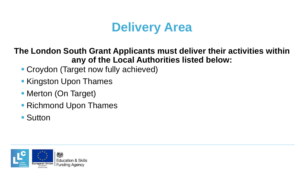### **Delivery Area**

#### **The London South Grant Applicants must deliver their activities within any of the Local Authorities listed below:**

- Croydon (Target now fully achieved)
- Kingston Upon Thames
- **Merton (On Target)**
- Richmond Upon Thames
- Sutton

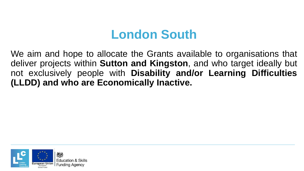#### **London South**

We aim and hope to allocate the Grants available to organisations that deliver projects within **Sutton and Kingston**, and who target ideally but not exclusively people with **Disability and/or Learning Difficulties (LLDD) and who are Economically Inactive.**

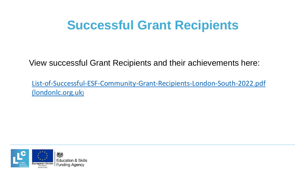#### **Successful Grant Recipients**

View successful Grant Recipients and their achievements here:

[List-of-Successful-ESF-Community-Grant-Recipients-London-South-2022.pdf](https://www.londonlc.org.uk/wp-content/uploads/List-of-Successful-ESF-Community-Grant-Recipients-London-South-2022.pdf)  (londonlc.org.uk)